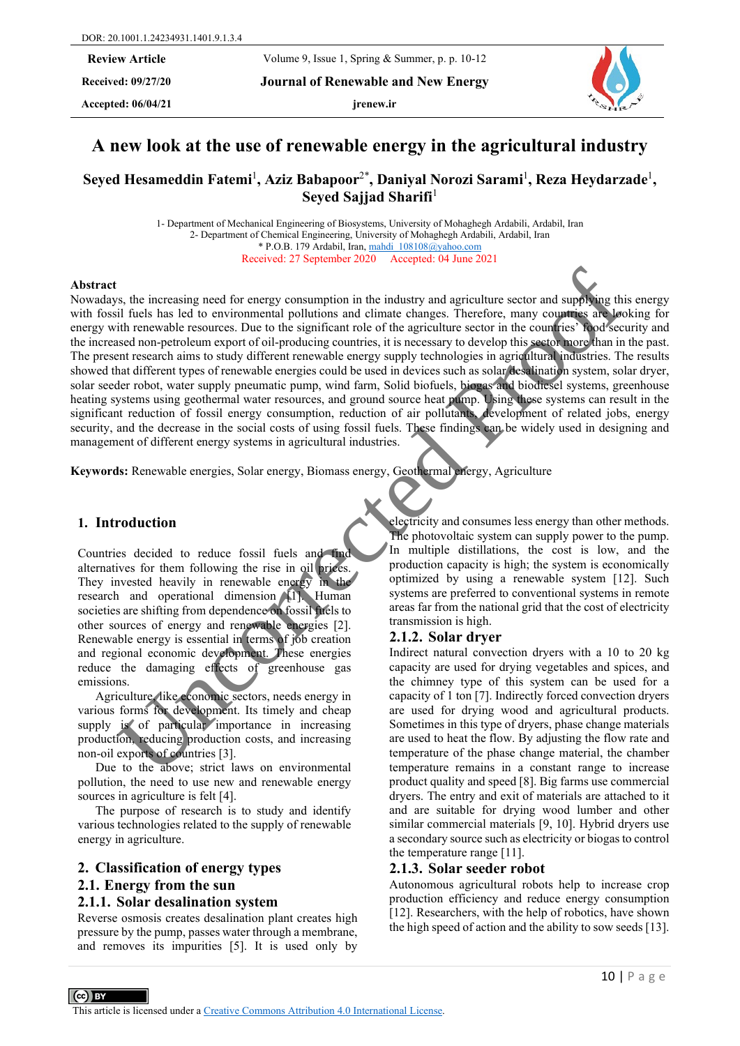**Received: 09/27/20 Journal of Renewable and New Energy**

Accepted:  $06/04/21$  **jrenew.ir** 



# **A new look at the use of renewable energy in the agricultural industry**

Seyed Hesameddin Fatemi<sup>1</sup>, Aziz Babapoor<sup>2\*</sup>, Daniyal Norozi Sarami<sup>1</sup>, Reza Heydarzade<sup>1</sup>, **Seyed Sajjad Sharifi**<sup>1</sup>

> 1- Department of Mechanical Engineering of Biosystems, University of Mohaghegh Ardabili, Ardabil, Iran 2- Department of Chemical Engineering, University of Mohaghegh Ardabili, Ardabil, Iran \* P.O.B. 179 Ardabil, Iran[, mahdi\\_108108@yahoo.com](mailto:mahdi_108108@yahoo.com) Received: 27 September 2020 Accepted: 04 June 2021

#### **Abstract**

Nowadays, the increasing need for energy consumption in the industry and agriculture sector and supplying this energy with fossil fuels has led to environmental pollutions and climate changes. Therefore, many countries are looking for energy with renewable resources. Due to the significant role of the agriculture sector in the countries' food security and the increased non-petroleum export of oil-producing countries, it is necessary to develop this sector more than in the past. The present research aims to study different renewable energy supply technologies in agricultural industries. The results showed that different types of renewable energies could be used in devices such as solar desalination system, solar dryer, solar seeder robot, water supply pneumatic pump, wind farm, Solid biofuels, biogas and biodiesel systems, greenhouse heating systems using geothermal water resources, and ground source heat pump. Using these systems can result in the significant reduction of fossil energy consumption, reduction of air pollutants, development of related jobs, energy security, and the decrease in the social costs of using fossil fuels. These findings can be widely used in designing and management of different energy systems in agricultural industries. So the interesting need for energy consumption in the industry and agriculture sector and supporting the same of the system control interesting and the measure and the measure and the measure and the measure and the measu

**Keywords:** Renewable energies, Solar energy, Biomass energy, Geothermal energy, Agriculture

#### **1. Introduction**

Countries decided to reduce fossil fuels and find alternatives for them following the rise in oil prices. They invested heavily in renewable energy in the research and operational dimension [1]. Human societies are shifting from dependence on fossil fuels to other sources of energy and renewable energies [2]. Renewable energy is essential in terms of job creation and regional economic development. These energies reduce the damaging effects of greenhouse gas emissions.

Agriculture, like economic sectors, needs energy in various forms for development. Its timely and cheap supply is of particular importance in increasing production, reducing production costs, and increasing non-oil exports of countries [3].

Due to the above; strict laws on environmental pollution, the need to use new and renewable energy sources in agriculture is felt [4].

The purpose of research is to study and identify various technologies related to the supply of renewable energy in agriculture.

# **2. Classification of energy types**

#### **2.1. Energy from the sun**

#### **2.1.1. Solar desalination system**

Reverse osmosis creates desalination plant creates high pressure by the pump, passes water through a membrane, and removes its impurities [5]. It is used only by

electricity and consumes less energy than other methods. The photovoltaic system can supply power to the pump. In multiple distillations, the cost is low, and the production capacity is high; the system is economically optimized by using a renewable system [12]. Such systems are preferred to conventional systems in remote areas far from the national grid that the cost of electricity transmission is high.

#### **2.1.2. Solar dryer**

Indirect natural convection dryers with a 10 to 20 kg capacity are used for drying vegetables and spices, and the chimney type of this system can be used for a capacity of 1 ton [7]. Indirectly forced convection dryers are used for drying wood and agricultural products. Sometimes in this type of dryers, phase change materials are used to heat the flow. By adjusting the flow rate and temperature of the phase change material, the chamber temperature remains in a constant range to increase product quality and speed [8]. Big farms use commercial dryers. The entry and exit of materials are attached to it and are suitable for drying wood lumber and other similar commercial materials [9, 10]. Hybrid dryers use a secondary source such as electricity or biogas to control the temperature range [11].

#### **2.1.3. Solar seeder robot**

Autonomous agricultural robots help to increase crop production efficiency and reduce energy consumption [12]. Researchers, with the help of robotics, have shown the high speed of action and the ability to sow seeds [13].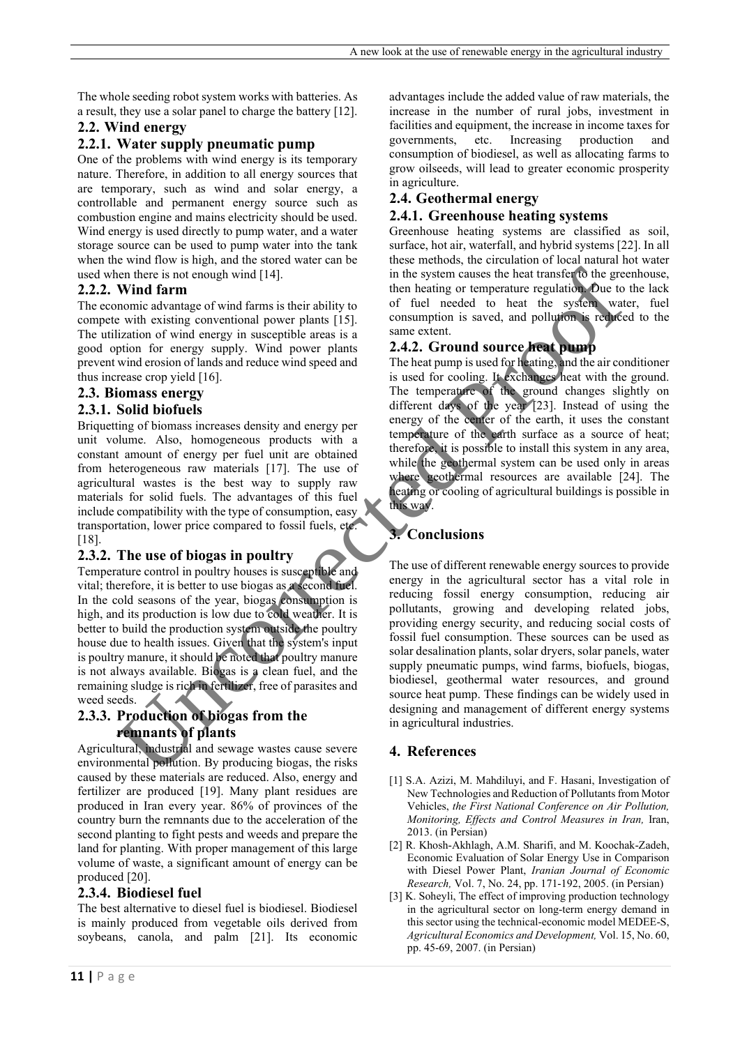The whole seeding robot system works with batteries. As a result, they use a solar panel to charge the battery [12].

## **2.2. Wind energy**

#### **2.2.1. Water supply pneumatic pump**

One of the problems with wind energy is its temporary nature. Therefore, in addition to all energy sources that are temporary, such as wind and solar energy, a controllable and permanent energy source such as combustion engine and mains electricity should be used. Wind energy is used directly to pump water, and a water storage source can be used to pump water into the tank when the wind flow is high, and the stored water can be used when there is not enough wind [14].

#### **2.2.2. Wind farm**

The economic advantage of wind farms is their ability to compete with existing conventional power plants [15]. The utilization of wind energy in susceptible areas is a good option for energy supply. Wind power plants prevent wind erosion of lands and reduce wind speed and thus increase crop yield [16].

#### **2.3. Biomass energy**

#### **2.3.1. Solid biofuels**

Briquetting of biomass increases density and energy per unit volume. Also, homogeneous products with a constant amount of energy per fuel unit are obtained from heterogeneous raw materials [17]. The use of agricultural wastes is the best way to supply raw materials for solid fuels. The advantages of this fuel include compatibility with the type of consumption, easy transportation, lower price compared to fossil fuels, etc. [18].

## **2.3.2. The use of biogas in poultry**

Temperature control in poultry houses is susceptible and vital; therefore, it is better to use biogas as a second fuel. In the cold seasons of the year, biogas consumption is high, and its production is low due to cold weather. It is better to build the production system outside the poultry house due to health issues. Given that the system's input is poultry manure, it should be noted that poultry manure is not always available. Biogas is a clean fuel, and the remaining sludge is rich in fertilizer, free of parasites and weed seeds.

## **2.3.3. Production of biogas from the remnants of plants**

Agricultural, industrial and sewage wastes cause severe environmental pollution. By producing biogas, the risks caused by these materials are reduced. Also, energy and fertilizer are produced [19]. Many plant residues are produced in Iran every year. 86% of provinces of the country burn the remnants due to the acceleration of the second planting to fight pests and weeds and prepare the land for planting. With proper management of this large volume of waste, a significant amount of energy can be produced [20].

## **2.3.4. Biodiesel fuel**

The best alternative to diesel fuel is biodiesel. Biodiesel is mainly produced from vegetable oils derived from soybeans, canola, and palm [21]. Its economic

#### **2.4. Geothermal energy**

#### **2.4.1. Greenhouse heating systems**

Greenhouse heating systems are classified as soil, surface, hot air, waterfall, and hybrid systems [22]. In all these methods, the circulation of local natural hot water in the system causes the heat transfer to the greenhouse, then heating or temperature regulation. Due to the lack of fuel needed to heat the system water, fuel consumption is saved, and pollution is reduced to the same extent.

#### **2.4.2. Ground source heat pump**

The heat pump is used for heating, and the air conditioner is used for cooling. It exchanges heat with the ground. The temperature of the ground changes slightly on different days of the year [23]. Instead of using the energy of the center of the earth, it uses the constant temperature of the earth surface as a source of heat; therefore, it is possible to install this system in any area, while the geothermal system can be used only in areas where geothermal resources are available [24]. The heating or cooling of agricultural buildings is possible in this way.

# **3. Conclusions**

The use of different renewable energy sources to provide energy in the agricultural sector has a vital role in reducing fossil energy consumption, reducing air pollutants, growing and developing related jobs, providing energy security, and reducing social costs of fossil fuel consumption. These sources can be used as solar desalination plants, solar dryers, solar panels, water supply pneumatic pumps, wind farms, biofuels, biogas, biodiesel, geothermal water resources, and ground source heat pump. These findings can be widely used in designing and management of different energy systems in agricultural industries. in the system and the system causes the best mass of the system and the system of wind frame in the system of word derivative of the method in the system wind in the system wind in the system of wind energy supply. Wind p

## **4. References**

- [1] S.A. Azizi, M. Mahdiluyi, and F. Hasani, Investigation of New Technologies and Reduction of Pollutants from Motor Vehicles, *the First National Conference on Air Pollution, Monitoring, Effects and Control Measures in Iran,* Iran, 2013. (in Persian)
- [2] R. Khosh-Akhlagh, A.M. Sharifi, and M. Koochak-Zadeh, Economic Evaluation of Solar Energy Use in Comparison with Diesel Power Plant, *Iranian Journal of Economic Research,* Vol. 7, No. 24, pp. 171-192, 2005. (in Persian)
- [3] K. Soheyli, The effect of improving production technology in the agricultural sector on long-term energy demand in this sector using the technical-economic model MEDEE-S, *Agricultural Economics and Development,* Vol. 15, No. 60, pp. 45-69, 2007. (in Persian)